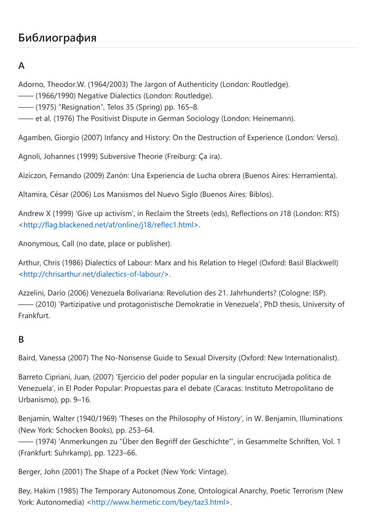# **Библиография**

# **A**

Adorno, Theodor.W. (1964/2003) The Jargon of Authenticity (London: Routledge).

—— (1966/1990) Negative Dialectics (London: Routledge).

—— (1975) "Resignation", Telos 35 (Spring) pp. 165–8.

—— et al. (1976) The Positivist Dispute in German Sociology (London: Heinemann).

Agamben, Giorgio (2007) Infancy and History: On the Destruction of Experience (London: Verso).

Agnoli, Johannes (1999) Subversive Theorie (Freiburg: Ça ira).

Aiziczon, Fernando (2009) Zanón: Una Experiencia de Lucha obrera (Buenos Aires: Herramienta).

Altamira, César (2006) Los Marxismos del Nuevo Siglo (Buenos Aires: Biblos).

Andrew X (1999) 'Give up activism', in Reclaim the Streets (eds), Reflections on J18 (London: RTS) [<http://flag.blackened.net/af/online/j18/reflec1.html>](http://flag.blackened.net/af/online/j18/reflec1.html).

Anonymous, Call (no date, place or publisher).

Arthur, Chris (1986) Dialectics of Labour: Marx and his Relation to Hegel (Oxford: Basil Blackwell) [<http://chrisarthur.net/dialectics-of-labour/>](http://chrisarthur.net/dialectics-of-labour/).

Azzelini, Dario (2006) Venezuela Bolivariana: Revolution des 21. Jahrhunderts? (Cologne: ISP). —— (2010) 'Partizipative und protagonistische Demokratie in Venezuela', PhD thesis, University of Frankfurt.

#### **B**

Baird, Vanessa (2007) The No-Nonsense Guide to Sexual Diversity (Oxford: New Internationalist).

Barreto Cipriani, Juan, (2007) 'Ejercicio del poder popular en la singular encrucijada política de Venezuela', in El Poder Popular: Propuestas para el debate (Caracas: Instituto Metropolitano de Urbanismo), pp. 9–16.

Benjamin, Walter (1940/1969) 'Theses on the Philosophy of History', in W. Benjamin, Illuminations (New York: Schocken Books), pp. 253–64.

—— (1974) 'Anmerkungen zu "Über den Begriff der Geschichte"', in Gesammelte Schriften, Vol. 1 (Frankfurt: Suhrkamp), pp. 1223–66.

Berger, John (2001) The Shape of a Pocket (New York: Vintage).

Bey, Hakim (1985) The Temporary Autonomous Zone, Ontological Anarchy, Poetic Terrorism (New York: Autonomedia) <[http://www.hermetic.com/bey/taz3.html>](http://www.hermetic.com/bey/taz3.html).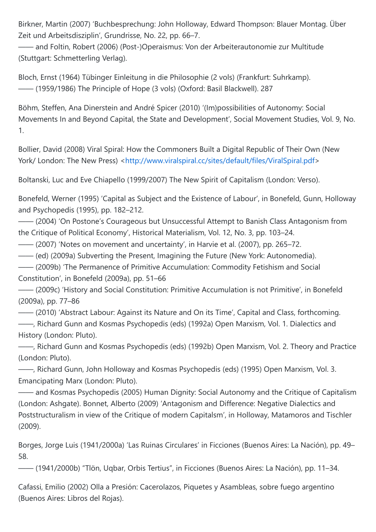Birkner, Martin (2007) 'Buchbesprechung: John Holloway, Edward Thompson: Blauer Montag. Über Zeit und Arbeitsdisziplin', Grundrisse, No. 22, pp. 66–7.

—— and Foltin, Robert (2006) (Post-)Operaismus: Von der Arbeiterautonomie zur Multitude (Stuttgart: Schmetterling Verlag).

Bloch, Ernst (1964) Tübinger Einleitung in die Philosophie (2 vols) (Frankfurt: Suhrkamp). —— (1959/1986) The Principle of Hope (3 vols) (Oxford: Basil Blackwell). 287

Böhm, Steffen, Ana Dinerstein and André Spicer (2010) '(Im)possibilities of Autonomy: Social Movements In and Beyond Capital, the State and Development', Social Movement Studies, Vol. 9, No. 1.

Bollier, David (2008) Viral Spiral: How the Commoners Built a Digital Republic of Their Own (New York/ London: The New Press) <[http://www.viralspiral.cc/sites/default/files/ViralSpiral.pdf>](http://www.viralspiral.cc/sites/default/files/ViralSpiral.pdf)

Boltanski, Luc and Eve Chiapello (1999/2007) The New Spirit of Capitalism (London: Verso).

Bonefeld, Werner (1995) 'Capital as Subject and the Existence of Labour', in Bonefeld, Gunn, Holloway and Psychopedis (1995), pp. 182–212.

—— (2004) 'On Postone's Courageous but Unsuccessful Attempt to Banish Class Antagonism from the Critique of Political Economy', Historical Materialism, Vol. 12, No. 3, pp. 103–24.

—— (2007) 'Notes on movement and uncertainty', in Harvie et al. (2007), pp. 265–72.

—— (ed) (2009a) Subverting the Present, Imagining the Future (New York: Autonomedia).

—— (2009b) 'The Permanence of Primitive Accumulation: Commodity Fetishism and Social Constitution', in Bonefeld (2009a), pp. 51–66

—— (2009c) 'History and Social Constitution: Primitive Accumulation is not Primitive', in Bonefeld (2009a), pp. 77–86

—— (2010) 'Abstract Labour: Against its Nature and On its Time', Capital and Class, forthcoming.

——, Richard Gunn and Kosmas Psychopedis (eds) (1992a) Open Marxism, Vol. 1. Dialectics and History (London: Pluto).

——, Richard Gunn and Kosmas Psychopedis (eds) (1992b) Open Marxism, Vol. 2. Theory and Practice (London: Pluto).

——, Richard Gunn, John Holloway and Kosmas Psychopedis (eds) (1995) Open Marxism, Vol. 3. Emancipating Marx (London: Pluto).

—— and Kosmas Psychopedis (2005) Human Dignity: Social Autonomy and the Critique of Capitalism (London: Ashgate). Bonnet, Alberto (2009) 'Antagonism and Difference: Negative Dialectics and Poststructuralism in view of the Critique of modern Capitalsm', in Holloway, Matamoros and Tischler (2009).

Borges, Jorge Luis (1941/2000a) 'Las Ruinas Circulares' in Ficciones (Buenos Aires: La Nación), pp. 49– 58.

—— (1941/2000b) "Tlön, Uqbar, Orbis Tertius", in Ficciones (Buenos Aires: La Nación), pp. 11–34.

Cafassi, Emilio (2002) Olla a Presión: Cacerolazos, Piquetes y Asambleas, sobre fuego argentino (Buenos Aires: Libros del Rojas).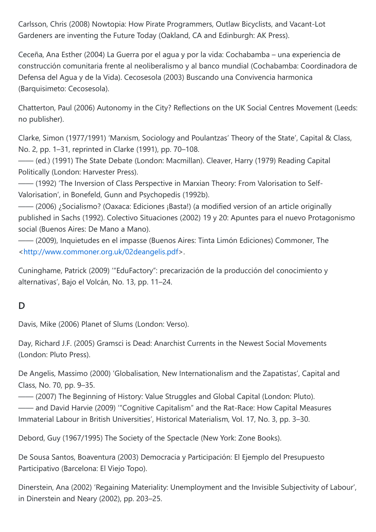Carlsson, Chris (2008) Nowtopia: How Pirate Programmers, Outlaw Bicyclists, and Vacant-Lot Gardeners are inventing the Future Today (Oakland, CA and Edinburgh: AK Press).

Ceceña, Ana Esther (2004) La Guerra por el agua y por la vida: Cochabamba – una experiencia de construcción comunitaria frente al neoliberalismo y al banco mundial (Cochabamba: Coordinadora de Defensa del Agua y de la Vida). Cecosesola (2003) Buscando una Convivencia harmonica (Barquisimeto: Cecosesola).

Chatterton, Paul (2006) Autonomy in the City? Reflections on the UK Social Centres Movement (Leeds: no publisher).

Clarke, Simon (1977/1991) 'Marxism, Sociology and Poulantzas' Theory of the State', Capital & Class, No. 2, pp. 1–31, reprinted in Clarke (1991), pp. 70–108.

—— (ed.) (1991) The State Debate (London: Macmillan). Cleaver, Harry (1979) Reading Capital Politically (London: Harvester Press).

—— (1992) 'The Inversion of Class Perspective in Marxian Theory: From Valorisation to Self-Valorisation', in Bonefeld, Gunn and Psychopedis (1992b).

—— (2006) ¿Socialismo? (Oaxaca: Ediciones ¡Basta!) (a modified version of an article originally published in Sachs (1992). Colectivo Situaciones (2002) 19 y 20: Apuntes para el nuevo Protagonismo social (Buenos Aires: De Mano a Mano).

—— (2009), Inquietudes en el impasse (Buenos Aires: Tinta Limón Ediciones) Commoner, The [<http://www.commoner.org.uk/02deangelis.pdf](http://www.commoner.org.uk/02deangelis.pdf)>.

Cuninghame, Patrick (2009) '"EduFactory": precarización de la producción del conocimiento y alternativas', Bajo el Volcán, No. 13, pp. 11–24.

## **D**

Davis, Mike (2006) Planet of Slums (London: Verso).

Day, Richard J.F. (2005) Gramsci is Dead: Anarchist Currents in the Newest Social Movements (London: Pluto Press).

De Angelis, Massimo (2000) 'Globalisation, New Internationalism and the Zapatistas', Capital and Class, No. 70, pp. 9–35.

—— (2007) The Beginning of History: Value Struggles and Global Capital (London: Pluto). —— and David Harvie (2009) '"Cognitive Capitalism" and the Rat-Race: How Capital Measures Immaterial Labour in British Universities', Historical Materialism, Vol. 17, No. 3, pp. 3–30.

Debord, Guy (1967/1995) The Society of the Spectacle (New York: Zone Books).

De Sousa Santos, Boaventura (2003) Democracia y Participación: El Ejemplo del Presupuesto Participativo (Barcelona: El Viejo Topo).

Dinerstein, Ana (2002) 'Regaining Materiality: Unemployment and the Invisible Subjectivity of Labour', in Dinerstein and Neary (2002), pp. 203–25.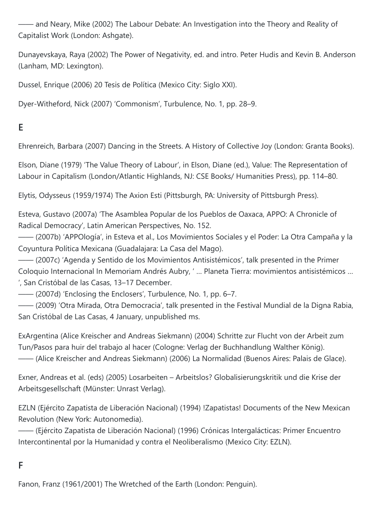—— and Neary, Mike (2002) The Labour Debate: An Investigation into the Theory and Reality of Capitalist Work (London: Ashgate).

Dunayevskaya, Raya (2002) The Power of Negativity, ed. and intro. Peter Hudis and Kevin B. Anderson (Lanham, MD: Lexington).

Dussel, Enrique (2006) 20 Tesis de Política (Mexico City: Siglo XXI).

Dyer-Witheford, Nick (2007) 'Commonism', Turbulence, No. 1, pp. 28–9.

## **E**

Ehrenreich, Barbara (2007) Dancing in the Streets. A History of Collective Joy (London: Granta Books).

Elson, Diane (1979) 'The Value Theory of Labour', in Elson, Diane (ed.), Value: The Representation of Labour in Capitalism (London/Atlantic Highlands, NJ: CSE Books/ Humanities Press), pp. 114–80.

Elytis, Odysseus (1959/1974) The Axion Esti (Pittsburgh, PA: University of Pittsburgh Press).

Esteva, Gustavo (2007a) 'The Asamblea Popular de los Pueblos de Oaxaca, APPO: A Chronicle of Radical Democracy', Latin American Perspectives, No. 152.

—— (2007b) 'APPOlogía', in Esteva et al., Los Movimientos Sociales y el Poder: La Otra Campaña y la Coyuntura Política Mexicana (Guadalajara: La Casa del Mago).

—— (2007c) 'Agenda y Sentido de los Movimientos Antisistémicos', talk presented in the Primer Coloquio Internacional In Memoriam Andrés Aubry, ' … Planeta Tierra: movimientos antisistémicos … ', San Cristóbal de las Casas, 13–17 December.

—— (2007d) 'Enclosing the Enclosers', Turbulence, No. 1, pp. 6–7.

—— (2009) 'Otra Mirada, Otra Democracia', talk presented in the Festival Mundial de la Digna Rabia, San Cristóbal de Las Casas, 4 January, unpublished ms.

ExArgentina (Alice Kreischer and Andreas Siekmann) (2004) Schritte zur Flucht von der Arbeit zum Tun/Pasos para huir del trabajo al hacer (Cologne: Verlag der Buchhandlung Walther König). —— (Alice Kreischer and Andreas Siekmann) (2006) La Normalidad (Buenos Aires: Palais de Glace).

Exner, Andreas et al. (eds) (2005) Losarbeiten – Arbeitslos? Globalisierungskritik und die Krise der Arbeitsgesellschaft (Münster: Unrast Verlag).

EZLN (Ejército Zapatista de Liberación Nacional) (1994) !Zapatistas! Documents of the New Mexican Revolution (New York: Autonomedia).

—— (Ejército Zapatista de Liberación Nacional) (1996) Crónicas Intergalácticas: Primer Encuentro Intercontinental por la Humanidad y contra el Neoliberalismo (Mexico City: EZLN).

#### **F**

Fanon, Franz (1961/2001) The Wretched of the Earth (London: Penguin).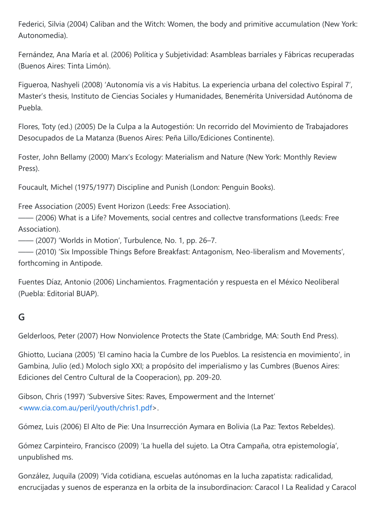Federici, Silvia (2004) Caliban and the Witch: Women, the body and primitive accumulation (New York: Autonomedia).

Fernández, Ana María et al. (2006) Política y Subjetividad: Asambleas barriales y Fábricas recuperadas (Buenos Aires: Tinta Limón).

Figueroa, Nashyeli (2008) 'Autonomía vis a vis Habitus. La experiencia urbana del colectivo Espiral 7', Master's thesis, Instituto de Ciencias Sociales y Humanidades, Benemérita Universidad Autónoma de Puebla.

Flores, Toty (ed.) (2005) De la Culpa a la Autogestión: Un recorrido del Movimiento de Trabajadores Desocupados de La Matanza (Buenos Aires: Peña Lillo/Ediciones Continente).

Foster, John Bellamy (2000) Marx's Ecology: Materialism and Nature (New York: Monthly Review Press).

Foucault, Michel (1975/1977) Discipline and Punish (London: Penguin Books).

Free Association (2005) Event Horizon (Leeds: Free Association).

—— (2006) What is a Life? Movements, social centres and collectve transformations (Leeds: Free Association).

—— (2007) 'Worlds in Motion', Turbulence, No. 1, pp. 26–7.

—— (2010) 'Six Impossible Things Before Breakfast: Antagonism, Neo-liberalism and Movements', forthcoming in Antipode.

Fuentes Díaz, Antonio (2006) Linchamientos. Fragmentación y respuesta en el México Neoliberal (Puebla: Editorial BUAP).

#### **G**

Gelderloos, Peter (2007) How Nonviolence Protects the State (Cambridge, MA: South End Press).

Ghiotto, Luciana (2005) 'El camino hacia la Cumbre de los Pueblos. La resistencia en movimiento', in Gambina, Julio (ed.) Moloch siglo XXI; a propósito del imperialismo y las Cumbres (Buenos Aires: Ediciones del Centro Cultural de la Cooperacion), pp. 209-20.

Gibson, Chris (1997) 'Subversive Sites: Raves, Empowerment and the Internet' [<www.cia.com.au/peril/youth/chris1.pdf>](https://md2pdf.netlify.app/www.cia.com.au/peril/youth/chris1.pdf).

Gómez, Luis (2006) El Alto de Pie: Una Insurrección Aymara en Bolivia (La Paz: Textos Rebeldes).

Gómez Carpinteiro, Francisco (2009) 'La huella del sujeto. La Otra Campaña, otra epistemología', unpublished ms.

González, Juquila (2009) 'Vida cotidiana, escuelas autónomas en la lucha zapatista: radicalidad, encrucijadas y suenos de esperanza en la orbita de la insubordinacion: Caracol I La Realidad y Caracol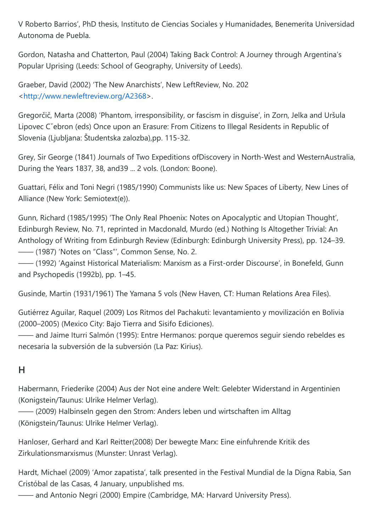V Roberto Barrios', PhD thesis, Instituto de Ciencias Sociales y Humanidades, Benemerita Universidad Autonoma de Puebla.

Gordon, Natasha and Chatterton, Paul (2004) Taking Back Control: A Journey through Argentina's Popular Uprising (Leeds: School of Geography, University of Leeds).

Graeber, David (2002) 'The New Anarchists', New LeftReview, No. 202 [<http://www.newleftreview.org/A2368>](http://www.newleftreview.org/A2368).

Gregorčič, Marta (2008) 'Phantom, irresponsibility, or fascism in disguise', in Zorn, Jelka and Uršula Lipovec Cˇebron (eds) Once upon an Erasure: From Citizens to Illegal Residents in Republic of Slovenia (Ljubljana: Študentska zalozba),pp. 115-32.

Grey, Sir George (1841) Journals of Two Expeditions ofDiscovery in North-West and WesternAustralia, During the Years 1837, 38, and39 ... 2 vols. (London: Boone).

Guattari, Félix and Toni Negri (1985/1990) Communists like us: New Spaces of Liberty, New Lines of Alliance (New York: Semiotext(e)).

Gunn, Richard (1985/1995) 'The Only Real Phoenix: Notes on Apocalyptic and Utopian Thought', Edinburgh Review, No. 71, reprinted in Macdonald, Murdo (ed.) Nothing Is Altogether Trivial: An Anthology of Writing from Edinburgh Review (Edinburgh: Edinburgh University Press), pp. 124–39. —— (1987) 'Notes on "Class"', Common Sense, No. 2.

—— (1992) 'Against Historical Materialism: Marxism as a First-order Discourse', in Bonefeld, Gunn and Psychopedis (1992b), pp. 1–45.

Gusinde, Martin (1931/1961) The Yamana 5 vols (New Haven, CT: Human Relations Area Files).

Gutiérrez Aguilar, Raquel (2009) Los Ritmos del Pachakuti: levantamiento y movilización en Bolivia (2000–2005) (Mexico City: Bajo Tierra and Sisifo Ediciones).

—— and Jaime Iturri Salmón (1995): Entre Hermanos: porque queremos seguir siendo rebeldes es necesaria la subversión de la subversión (La Paz: Kirius).

#### **H**

Habermann, Friederike (2004) Aus der Not eine andere Welt: Gelebter Widerstand in Argentinien (Konigstein/Taunus: Ulrike Helmer Verlag).

—— (2009) Halbinseln gegen den Strom: Anders leben und wirtschaften im Alltag (Königstein/Taunus: Ulrike Helmer Verlag).

Hanloser, Gerhard and Karl Reitter(2008) Der bewegte Marx: Eine einfuhrende Kritik des Zirkulationsmarxismus (Munster: Unrast Verlag).

Hardt, Michael (2009) 'Amor zapatista', talk presented in the Festival Mundial de la Digna Rabia, San Cristóbal de las Casas, 4 January, unpublished ms.

—— and Antonio Negri (2000) Empire (Cambridge, MA: Harvard University Press).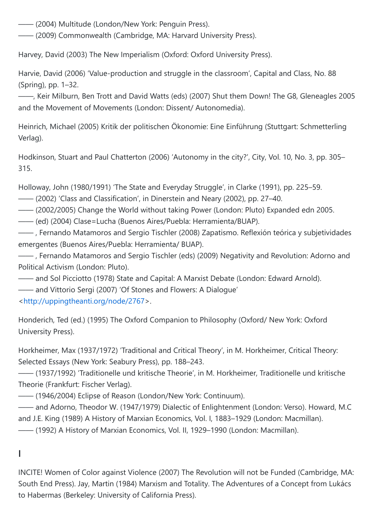—— (2004) Multitude (London/New York: Penguin Press).

—— (2009) Commonwealth (Cambridge, MA: Harvard University Press).

Harvey, David (2003) The New Imperialism (Oxford: Oxford University Press).

Harvie, David (2006) 'Value-production and struggle in the classroom', Capital and Class, No. 88 (Spring), pp. 1–32.

——, Keir Milburn, Ben Trott and David Watts (eds) (2007) Shut them Down! The G8, Gleneagles 2005 and the Movement of Movements (London: Dissent/ Autonomedia).

Heinrich, Michael (2005) Kritik der politischen Ökonomie: Eine Einführung (Stuttgart: Schmetterling Verlag).

Hodkinson, Stuart and Paul Chatterton (2006) 'Autonomy in the city?', City, Vol. 10, No. 3, pp. 305– 315.

Holloway, John (1980/1991) 'The State and Everyday Struggle', in Clarke (1991), pp. 225–59.

—— (2002) 'Class and Classification', in Dinerstein and Neary (2002), pp. 27–40.

—— (2002/2005) Change the World without taking Power (London: Pluto) Expanded edn 2005.

—— (ed) (2004) Clase=Lucha (Buenos Aires/Puebla: Herramienta/BUAP).

—— , Fernando Matamoros and Sergio Tischler (2008) Zapatismo. Reflexión teórica y subjetividades emergentes (Buenos Aires/Puebla: Herramienta/ BUAP).

—— , Fernando Matamoros and Sergio Tischler (eds) (2009) Negativity and Revolution: Adorno and Political Activism (London: Pluto).

—— and Sol Picciotto (1978) State and Capital: A Marxist Debate (London: Edward Arnold).

—— and Vittorio Sergi (2007) 'Of Stones and Flowers: A Dialogue'

[<http://uppingtheanti.org/node/2767](http://uppingtheanti.org/node/2767)>.

Honderich, Ted (ed.) (1995) The Oxford Companion to Philosophy (Oxford/ New York: Oxford University Press).

Horkheimer, Max (1937/1972) 'Traditional and Critical Theory', in M. Horkheimer, Critical Theory: Selected Essays (New York: Seabury Press), pp. 188–243.

—— (1937/1992) 'Traditionelle und kritische Theorie', in M. Horkheimer, Traditionelle und kritische Theorie (Frankfurt: Fischer Verlag).

—— (1946/2004) Eclipse of Reason (London/New York: Continuum).

—— and Adorno, Theodor W. (1947/1979) Dialectic of Enlightenment (London: Verso). Howard, M.C and J.E. King (1989) A History of Marxian Economics, Vol. I, 1883–1929 (London: Macmillan).

—— (1992) A History of Marxian Economics, Vol. II, 1929–1990 (London: Macmillan).

## **I**

INCITE! Women of Color against Violence (2007) The Revolution will not be Funded (Cambridge, MA: South End Press). Jay, Martin (1984) Marxism and Totality. The Adventures of a Concept from Lukács to Habermas (Berkeley: University of California Press).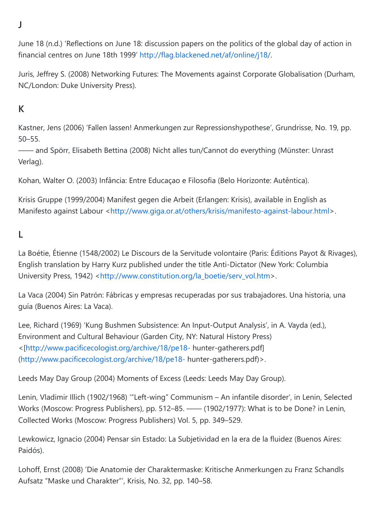**J**

June 18 (n.d.) 'Reflections on June 18: discussion papers on the politics of the global day of action in financial centres on June 18th 1999' <http://flag.blackened.net/af/online/j18/>.

Juris, Jeffrey S. (2008) Networking Futures: The Movements against Corporate Globalisation (Durham, NC/London: Duke University Press).

## **K**

Kastner, Jens (2006) 'Fallen lassen! Anmerkungen zur Repressionshypothese', Grundrisse, No. 19, pp. 50–55.

—— and Spörr, Elisabeth Bettina (2008) Nicht alles tun/Cannot do everything (Münster: Unrast Verlag).

Kohan, Walter O. (2003) Infância: Entre Educaçao e Filosofia (Belo Horizonte: Autêntica).

Krisis Gruppe (1999/2004) Manifest gegen die Arbeit (Erlangen: Krisis), available in English as Manifesto against Labour <[http://www.giga.or.at/others/krisis/manifesto-against-labour.html>](http://www.giga.or.at/others/krisis/manifesto-against-labour.html).

#### **L**

La Boétie, Étienne (1548/2002) Le Discours de la Servitude volontaire (Paris: Éditions Payot & Rivages), English translation by Harry Kurz published under the title Anti-Dictator (New York: Columbia University Press, 1942) <[http://www.constitution.org/la\\_boetie/serv\\_vol.htm>](http://www.constitution.org/la_boetie/serv_vol.htm).

La Vaca (2004) Sin Patrón: Fábricas y empresas recuperadas por sus trabajadores. Una historia, una guía (Buenos Aires: La Vaca).

Lee, Richard (1969) 'Kung Bushmen Subsistence: An Input-Output Analysis', in A. Vayda (ed.), Environment and Cultural Behaviour (Garden City, NY: Natural History Press) <[<http://www.pacificecologist.org/archive/18/pe18-> hunter-gatherers.pdf] (<http://www.pacificecologist.org/archive/18/pe18-> hunter-gatherers.pdf)>.

Leeds May Day Group (2004) Moments of Excess (Leeds: Leeds May Day Group).

Lenin, Vladimir Illich (1902/1968) '"Left-wing" Communism – An infantile disorder', in Lenin, Selected Works (Moscow: Progress Publishers), pp. 512–85. —— (1902/1977): What is to be Done? in Lenin, Collected Works (Moscow: Progress Publishers) Vol. 5, pp. 349–529.

Lewkowicz, Ignacio (2004) Pensar sin Estado: La Subjetividad en la era de la fluidez (Buenos Aires: Paidós).

Lohoff, Ernst (2008) 'Die Anatomie der Charaktermaske: Kritische Anmerkungen zu Franz Schandls Aufsatz "Maske und Charakter"', Krisis, No. 32, pp. 140–58.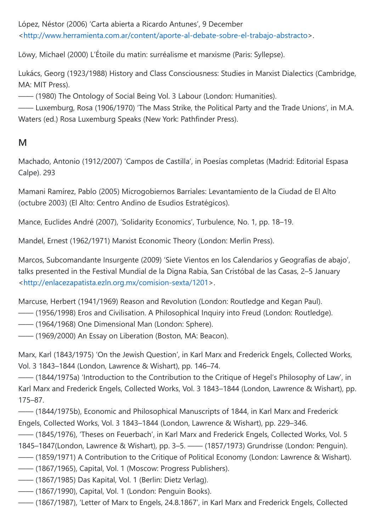López, Néstor (2006) 'Carta abierta a Ricardo Antunes', 9 December [<http://www.herramienta.com.ar/content/aporte-al-debate-sobre-el-trabajo-abstracto](http://www.herramienta.com.ar/content/aporte-al-debate-sobre-el-trabajo-abstracto)>.

Löwy, Michael (2000) L'Étoile du matin: surréalisme et marxisme (Paris: Syllepse).

Lukács, Georg (1923/1988) History and Class Consciousness: Studies in Marxist Dialectics (Cambridge, MA: MIT Press).

—— (1980) The Ontology of Social Being Vol. 3 Labour (London: Humanities).

—— Luxemburg, Rosa (1906/1970) 'The Mass Strike, the Political Party and the Trade Unions', in M.A. Waters (ed.) Rosa Luxemburg Speaks (New York: Pathfinder Press).

#### **M**

Machado, Antonio (1912/2007) 'Campos de Castilla', in Poesías completas (Madrid: Editorial Espasa Calpe). 293

Mamani Ramírez, Pablo (2005) Microgobiernos Barriales: Levantamiento de la Ciudad de El Alto (octubre 2003) (El Alto: Centro Andino de Esudios Estratégicos).

Mance, Euclides André (2007), 'Solidarity Economics', Turbulence, No. 1, pp. 18–19.

Mandel, Ernest (1962/1971) Marxist Economic Theory (London: Merlin Press).

Marcos, Subcomandante Insurgente (2009) 'Siete Vientos en los Calendarios y Geografías de abajo', talks presented in the Festival Mundial de la Digna Rabia, San Cristóbal de las Casas, 2–5 January [<http://enlacezapatista.ezln.org.mx/comision-sexta/1201](http://enlacezapatista.ezln.org.mx/comision-sexta/1201)>.

Marcuse, Herbert (1941/1969) Reason and Revolution (London: Routledge and Kegan Paul).

—— (1956/1998) Eros and Civilisation. A Philosophical Inquiry into Freud (London: Routledge).

—— (1964/1968) One Dimensional Man (London: Sphere).

—— (1969/2000) An Essay on Liberation (Boston, MA: Beacon).

Marx, Karl (1843/1975) 'On the Jewish Question', in Karl Marx and Frederick Engels, Collected Works, Vol. 3 1843–1844 (London, Lawrence & Wishart), pp. 146–74.

—— (1844/1975a) 'Introduction to the Contribution to the Critique of Hegel's Philosophy of Law', in Karl Marx and Frederick Engels, Collected Works, Vol. 3 1843–1844 (London, Lawrence & Wishart), pp. 175–87.

—— (1844/1975b), Economic and Philosophical Manuscripts of 1844, in Karl Marx and Frederick Engels, Collected Works, Vol. 3 1843–1844 (London, Lawrence & Wishart), pp. 229–346.

—— (1845/1976), 'Theses on Feuerbach', in Karl Marx and Frederick Engels, Collected Works, Vol. 5 1845–1847(London, Lawrence & Wishart), pp. 3–5. —— (1857/1973) Grundrisse (London: Penguin).

—— (1859/1971) A Contribution to the Critique of Political Economy (London: Lawrence & Wishart).

—— (1867/1965), Capital, Vol. 1 (Moscow: Progress Publishers).

- —— (1867/1985) Das Kapital, Vol. 1 (Berlin: Dietz Verlag).
- —— (1867/1990), Capital, Vol. 1 (London: Penguin Books).
- —— (1867/1987), 'Letter of Marx to Engels, 24.8.1867', in Karl Marx and Frederick Engels, Collected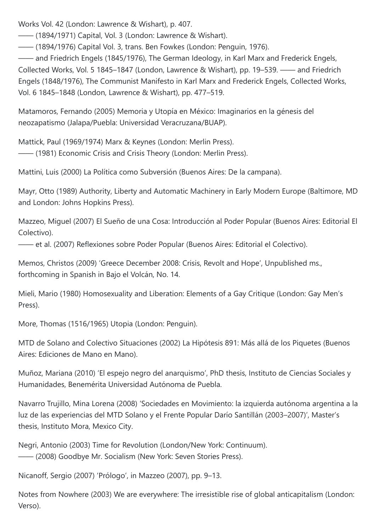Works Vol. 42 (London: Lawrence & Wishart), p. 407.

—— (1894/1971) Capital, Vol. 3 (London: Lawrence & Wishart).

—— (1894/1976) Capital Vol. 3, trans. Ben Fowkes (London: Penguin, 1976).

—— and Friedrich Engels (1845/1976), The German Ideology, in Karl Marx and Frederick Engels, Collected Works, Vol. 5 1845–1847 (London, Lawrence & Wishart), pp. 19–539. —— and Friedrich Engels (1848/1976), The Communist Manifesto in Karl Marx and Frederick Engels, Collected Works, Vol. 6 1845–1848 (London, Lawrence & Wishart), pp. 477–519.

Matamoros, Fernando (2005) Memoria y Utopía en México: Imaginarios en la génesis del neozapatismo (Jalapa/Puebla: Universidad Veracruzana/BUAP).

Mattick, Paul (1969/1974) Marx & Keynes (London: Merlin Press). —— (1981) Economic Crisis and Crisis Theory (London: Merlin Press).

Mattini, Luis (2000) La Política como Subversión (Buenos Aires: De la campana).

Mayr, Otto (1989) Authority, Liberty and Automatic Machinery in Early Modern Europe (Baltimore, MD and London: Johns Hopkins Press).

Mazzeo, Miguel (2007) El Sueño de una Cosa: Introducción al Poder Popular (Buenos Aires: Editorial El Colectivo).

—— et al. (2007) Reflexiones sobre Poder Popular (Buenos Aires: Editorial el Colectivo).

Memos, Christos (2009) 'Greece December 2008: Crisis, Revolt and Hope', Unpublished ms., forthcoming in Spanish in Bajo el Volcán, No. 14.

Mieli, Mario (1980) Homosexuality and Liberation: Elements of a Gay Critique (London: Gay Men's Press).

More, Thomas (1516/1965) Utopia (London: Penguin).

MTD de Solano and Colectivo Situaciones (2002) La Hipótesis 891: Más allá de los Piquetes (Buenos Aires: Ediciones de Mano en Mano).

Muñoz, Mariana (2010) 'El espejo negro del anarquismo', PhD thesis, Instituto de Ciencias Sociales y Humanidades, Benemérita Universidad Autónoma de Puebla.

Navarro Trujillo, Mina Lorena (2008) 'Sociedades en Movimiento: la izquierda autónoma argentina a la luz de las experiencias del MTD Solano y el Frente Popular Darío Santillán (2003–2007)', Master's thesis, Instituto Mora, Mexico City.

Negri, Antonio (2003) Time for Revolution (London/New York: Continuum). —— (2008) Goodbye Mr. Socialism (New York: Seven Stories Press).

Nicanoff, Sergio (2007) 'Prólogo', in Mazzeo (2007), pp. 9–13.

Notes from Nowhere (2003) We are everywhere: The irresistible rise of global anticapitalism (London: Verso).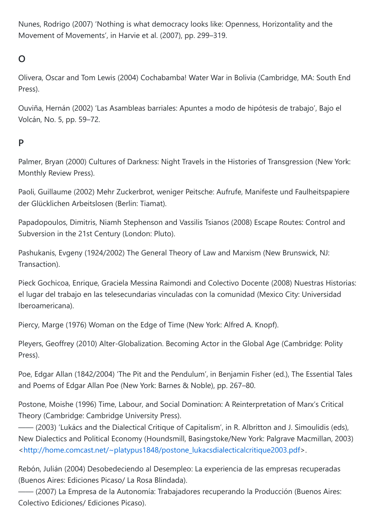Nunes, Rodrigo (2007) 'Nothing is what democracy looks like: Openness, Horizontality and the Movement of Movements', in Harvie et al. (2007), pp. 299–319.

## **O**

Olivera, Oscar and Tom Lewis (2004) Cochabamba! Water War in Bolivia (Cambridge, MA: South End Press).

Ouviña, Hernán (2002) 'Las Asambleas barriales: Apuntes a modo de hipótesis de trabajo', Bajo el Volcán, No. 5, pp. 59–72.

### **P**

Palmer, Bryan (2000) Cultures of Darkness: Night Travels in the Histories of Transgression (New York: Monthly Review Press).

Paoli, Guillaume (2002) Mehr Zuckerbrot, weniger Peitsche: Aufrufe, Manifeste und Faulheitspapiere der Glücklichen Arbeitslosen (Berlin: Tiamat).

Papadopoulos, Dimitris, Niamh Stephenson and Vassilis Tsianos (2008) Escape Routes: Control and Subversion in the 21st Century (London: Pluto).

Pashukanis, Evgeny (1924/2002) The General Theory of Law and Marxism (New Brunswick, NJ: Transaction).

Pieck Gochicoa, Enrique, Graciela Messina Raimondi and Colectivo Docente (2008) Nuestras Historias: el lugar del trabajo en las telesecundarias vinculadas con la comunidad (Mexico City: Universidad Iberoamericana).

Piercy, Marge (1976) Woman on the Edge of Time (New York: Alfred A. Knopf).

Pleyers, Geoffrey (2010) Alter-Globalization. Becoming Actor in the Global Age (Cambridge: Polity Press).

Poe, Edgar Allan (1842/2004) 'The Pit and the Pendulum', in Benjamin Fisher (ed.), The Essential Tales and Poems of Edgar Allan Poe (New York: Barnes & Noble), pp. 267–80.

Postone, Moishe (1996) Time, Labour, and Social Domination: A Reinterpretation of Marx's Critical Theory (Cambridge: Cambridge University Press).

—— (2003) 'Lukács and the Dialectical Critique of Capitalism', in R. Albritton and J. Simoulidis (eds), New Dialectics and Political Economy (Houndsmill, Basingstoke/New York: Palgrave Macmillan, 2003) [<http://home.comcast.net/~platypus1848/postone\\_lukacsdialecticalcritique2003.pdf](http://home.comcast.net/~platypus1848/postone_lukacsdialecticalcritique2003.pdf)>.

Rebón, Julián (2004) Desobedeciendo al Desempleo: La experiencia de las empresas recuperadas (Buenos Aires: Ediciones Picaso/ La Rosa Blindada).

—— (2007) La Empresa de la Autonomía: Trabajadores recuperando la Producción (Buenos Aires: Colectivo Ediciones/ Ediciones Picaso).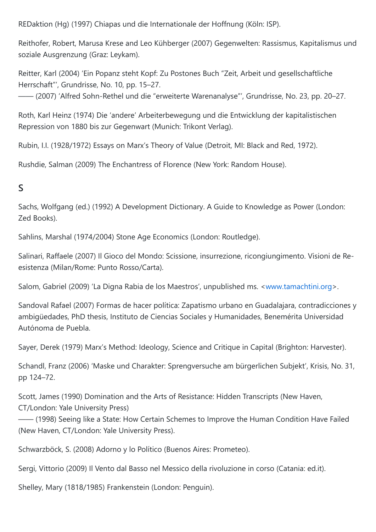REDaktion (Hg) (1997) Chiapas und die Internationale der Hoffnung (Köln: ISP).

Reithofer, Robert, Marusa Krese and Leo Kühberger (2007) Gegenwelten: Rassismus, Kapitalismus und soziale Ausgrenzung (Graz: Leykam).

Reitter, Karl (2004) 'Ein Popanz steht Kopf: Zu Postones Buch "Zeit, Arbeit und gesellschaftliche Herrschaft"', Grundrisse, No. 10, pp. 15–27.

—— (2007) 'Alfred Sohn-Rethel und die "erweiterte Warenanalyse"', Grundrisse, No. 23, pp. 20–27.

Roth, Karl Heinz (1974) Die 'andere' Arbeiterbewegung und die Entwicklung der kapitalistischen Repression von 1880 bis zur Gegenwart (Munich: Trikont Verlag).

Rubin, I.I. (1928/1972) Essays on Marx's Theory of Value (Detroit, MI: Black and Red, 1972).

Rushdie, Salman (2009) The Enchantress of Florence (New York: Random House).

## **S**

Sachs, Wolfgang (ed.) (1992) A Development Dictionary. A Guide to Knowledge as Power (London: Zed Books).

Sahlins, Marshal (1974/2004) Stone Age Economics (London: Routledge).

Salinari, Raffaele (2007) Il Gioco del Mondo: Scissione, insurrezione, ricongiungimento. Visioni de Reesistenza (Milan/Rome: Punto Rosso/Carta).

Salom, Gabriel (2009) 'La Digna Rabia de los Maestros', unpublished ms. <[www.tamachtini.org>](https://md2pdf.netlify.app/www.tamachtini.org).

Sandoval Rafael (2007) Formas de hacer política: Zapatismo urbano en Guadalajara, contradicciones y ambigüedades, PhD thesis, Instituto de Ciencias Sociales y Humanidades, Benemérita Universidad Autónoma de Puebla.

Sayer, Derek (1979) Marx's Method: Ideology, Science and Critique in Capital (Brighton: Harvester).

Schandl, Franz (2006) 'Maske und Charakter: Sprengversuche am bürgerlichen Subjekt', Krisis, No. 31, pp 124–72.

Scott, James (1990) Domination and the Arts of Resistance: Hidden Transcripts (New Haven, CT/London: Yale University Press)

—— (1998) Seeing like a State: How Certain Schemes to Improve the Human Condition Have Failed (New Haven, CT/London: Yale University Press).

Schwarzböck, S. (2008) Adorno y lo Político (Buenos Aires: Prometeo).

Sergi, Vittorio (2009) Il Vento dal Basso nel Messico della rivoluzione in corso (Catania: ed.it).

Shelley, Mary (1818/1985) Frankenstein (London: Penguin).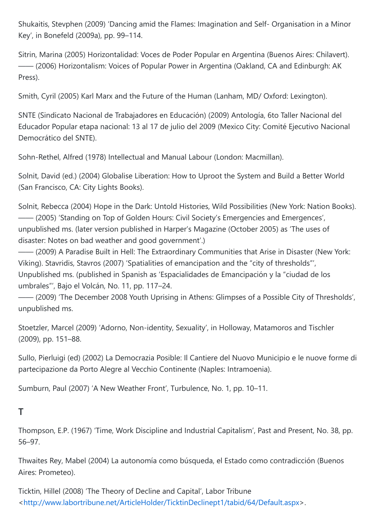Shukaitis, Stevphen (2009) 'Dancing amid the Flames: Imagination and Self- Organisation in a Minor Key', in Bonefeld (2009a), pp. 99–114.

Sitrin, Marina (2005) Horizontalidad: Voces de Poder Popular en Argentina (Buenos Aires: Chilavert). —— (2006) Horizontalism: Voices of Popular Power in Argentina (Oakland, CA and Edinburgh: AK Press).

Smith, Cyril (2005) Karl Marx and the Future of the Human (Lanham, MD/ Oxford: Lexington).

SNTE (Sindicato Nacional de Trabajadores en Educación) (2009) Antología, 6to Taller Nacional del Educador Popular etapa nacional: 13 al 17 de julio del 2009 (Mexico City: Comité Ejecutivo Nacional Democrático del SNTE).

Sohn-Rethel, Alfred (1978) Intellectual and Manual Labour (London: Macmillan).

Solnit, David (ed.) (2004) Globalise Liberation: How to Uproot the System and Build a Better World (San Francisco, CA: City Lights Books).

Solnit, Rebecca (2004) Hope in the Dark: Untold Histories, Wild Possibilities (New York: Nation Books). —— (2005) 'Standing on Top of Golden Hours: Civil Society's Emergencies and Emergences', unpublished ms. (later version published in Harper's Magazine (October 2005) as 'The uses of disaster: Notes on bad weather and good government'.)

—— (2009) A Paradise Built in Hell: The Extraordinary Communities that Arise in Disaster (New York: Viking). Stavridis, Stavros (2007) 'Spatialities of emancipation and the "city of thresholds"', Unpublished ms. (published in Spanish as 'Espacialidades de Emancipación y la "ciudad de los umbrales"', Bajo el Volcán, No. 11, pp. 117–24.

—— (2009) 'The December 2008 Youth Uprising in Athens: Glimpses of a Possible City of Thresholds', unpublished ms.

Stoetzler, Marcel (2009) 'Adorno, Non-identity, Sexuality', in Holloway, Matamoros and Tischler (2009), pp. 151–88.

Sullo, Pierluigi (ed) (2002) La Democrazia Posible: Il Cantiere del Nuovo Municipio e le nuove forme di partecipazione da Porto Alegre al Vecchio Continente (Naples: Intramoenia).

Sumburn, Paul (2007) 'A New Weather Front', Turbulence, No. 1, pp. 10–11.

#### **T**

Thompson, E.P. (1967) 'Time, Work Discipline and Industrial Capitalism', Past and Present, No. 38, pp. 56–97.

Thwaites Rey, Mabel (2004) La autonomía como búsqueda, el Estado como contradicción (Buenos Aires: Prometeo).

Ticktin, Hillel (2008) 'The Theory of Decline and Capital', Labor Tribune [<http://www.labortribune.net/ArticleHolder/TicktinDeclinept1/tabid/64/Default.aspx>](http://www.labortribune.net/ArticleHolder/TicktinDeclinept1/tabid/64/Default.aspx).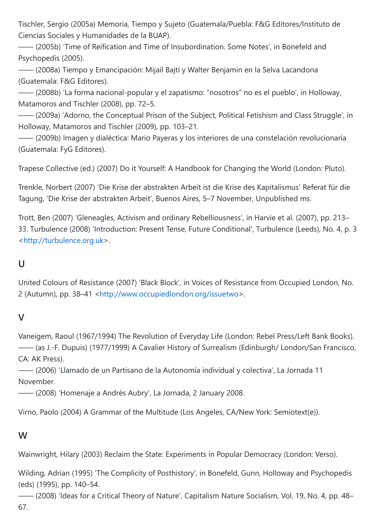Tischler, Sergio (2005a) Memoria, Tiempo y Sujeto (Guatemala/Puebla: F&G Editores/Instituto de Ciencias Sociales y Humanidades de la BUAP).

—— (2005b) 'Time of Reification and Time of Insubordination. Some Notes', in Bonefeld and Psychopedis (2005).

—— (2008a) Tiempo y Emancipación: Mijaíl Bajtí y Walter Benjamin en la Selva Lacandona (Guatemala: F&G Editores).

—— (2008b) 'La forma nacional-popular y el zapatismo: "nosotros" no es el pueblo', in Holloway, Matamoros and Tischler (2008), pp. 72–5.

—— (2009a) 'Adorno, the Conceptual Prison of the Subject, Political Fetishism and Class Struggle', in Holloway, Matamoros and Tischler (2009), pp. 103–21.

—— (2009b) Imagen y dialéctica: Mario Payeras y los interiores de una constelación revolucionaria (Guatemala: FyG Editores).

Trapese Collective (ed.) (2007) Do it Yourself: A Handbook for Changing the World (London: Pluto).

Trenkle, Norbert (2007) 'Die Krise der abstrakten Arbeit ist die Krise des Kapitalismus' Referat für die Tagung, 'Die Krise der abstrakten Arbeit', Buenos Aires, 5–7 November, Unpublished ms.

Trott, Ben (2007) 'Gleneagles, Activism and ordinary Rebelliousness', in Harvie et al. (2007), pp. 213– 33. Turbulence (2008) 'Introduction: Present Tense, Future Conditional', Turbulence (Leeds), No. 4, p. 3 [<http://turbulence.org.uk](http://turbulence.org.uk/)>.

### **U**

United Colours of Resistance (2007) 'Black Block', in Voices of Resistance from Occupied London, No. 2 (Autumn), pp. 38–41 <[http://www.occupiedlondon.org/issuetwo>](http://www.occupiedlondon.org/issuetwo).

#### **V**

Vaneigem, Raoul (1967/1994) The Revolution of Everyday Life (London: Rebel Press/Left Bank Books). —— (as J.-F. Dupuis) (1977/1999) A Cavalier History of Surrealism (Edinburgh/ London/San Francisco, CA: AK Press).

—— (2006) 'Llamado de un Partisano de la Autonomía individual y colectiva', La Jornada 11 November.

—— (2008) 'Homenaje a Andrés Aubry', La Jornada, 2 January 2008.

Virno, Paolo (2004) A Grammar of the Multitude (Los Angeles, CA/New York: Semiotext(e)).

#### **W**

Wainwright, Hilary (2003) Reclaim the State: Experiments in Popular Democracy (London: Verso).

Wilding, Adrian (1995) 'The Complicity of Posthistory', in Bonefeld, Gunn, Holloway and Psychopedis (eds) (1995), pp. 140–54.

—— (2008) 'Ideas for a Critical Theory of Nature', Capitalism Nature Socialism, Vol. 19, No. 4, pp. 48– 67.